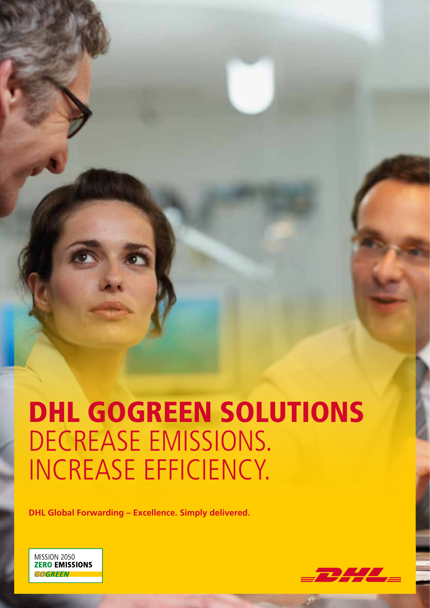# DHL GOGREEN SOLUTIONS DECREASE EMISSIONS. INCREASE EFFICIENCY.

**DHL Global Forwarding – Excellence. Simply delivered.**



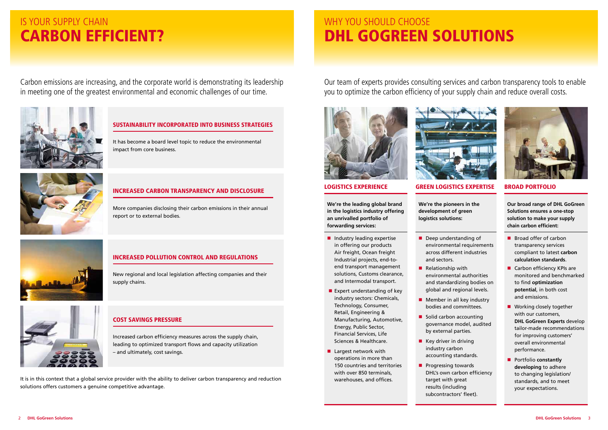

# WHY YOU SHOULD CHOOSE DHL GOGREEN SOLUTIONS

## IS YOUR SUPPLY CHAIN CARBON EFFICIENT?

Carbon emissions are increasing, and the corporate world is demonstrating its leadership in meeting one of the greatest environmental and economic challenges of our time.



It is in this context that a global service provider with the ability to deliver carbon transparency and reduction solutions offers customers a genuine competitive advantage.

## SUSTAINABILITY INCORPORATED INTO BUSINESS STRATEGIES

It has become a board level topic to reduce the environmental impact from core business.



### INCREASED CARBON TRANSPARENCY AND DISCLOSURE

More companies disclosing their carbon emissions in their annual report or to external bodies.



## INCREASED POLLUTION CONTROL AND REGULATIONS

New regional and local legislation affecting companies and their supply chains.



#### COST SAVINGS PRESSURE

Increased carbon efficiency measures across the supply chain, leading to optimized transport flows and capacity utilization – and ultimately, cost savings.

- $\blacksquare$  Industry leading expertise in offering our products Air freight, Ocean freight Industrial projects, end-toend transport management solutions, Customs clearance, and Intermodal transport.
- Expert understanding of key industry sectors: Chemicals, Technology, Consumer, Retail, Engineering & Manufacturing, Automotive, Energy, Public Sector, Financial Services, Life Sciences & Healthcare.
- $\blacksquare$  Largest network with operations in more than 150 countries and territories with over 850 terminals, warehouses, and offices.

Our team of experts provides consulting services and carbon transparency tools to enable you to optimize the carbon efficiency of your supply chain and reduce overall costs.



#### LOGISTICS EXPERIENCE GREEN LOGISTICS EXPERTISE BROAD PORTFOLIO

- $\blacksquare$  Deep understanding of across different industries and sectors.
- $\blacksquare$  Relationship with environmental authorities and standardizing bodies on global and regional levels.
- $\blacksquare$  Member in all key industry bodies and committees.
- $\blacksquare$  Solid carbon accounting governance model, audited by external parties.
- $\blacksquare$  Key driver in driving industry carbon accounting standards.
- $\blacksquare$  Progressing towards DHL's own carbon efficiency target with great results (including subcontractors' fleet).

**We're the leading global brand in the logistics industry offering an unrivalled portfolio of forwarding services:**

**We're the pioneers in the development of green logistics solutions:**

**Our broad range of DHL GoGreen Solutions ensures a one-stop solution to make your supply chain carbon efficient:**

- $\blacksquare$  Broad offer of carbon transparency services compliant to latest **carbon calculation standards**.
- $\blacksquare$  Carbon efficiency KPIs are monitored and benchmarked to find **optimization potential**, in both cost and emissions.
- $\blacksquare$  Working closely together with our customers, **DHL GoGreen Experts** develop tailor-made recommendations for improving customers' overall environmental performance.
- **n** Portfolio **constantly developing** to adhere to changing legislation/ standards, and to meet your expectations.

environmental requirements

- 
- 

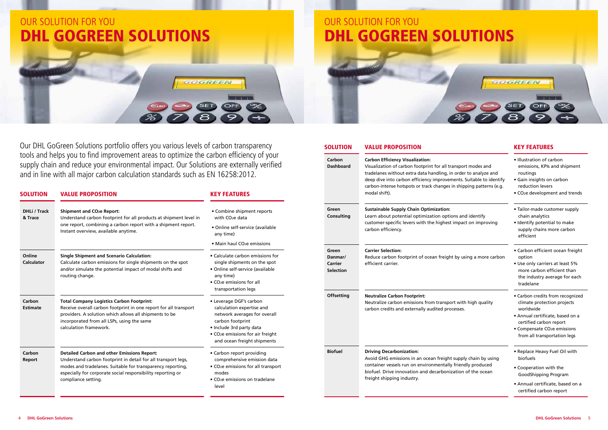### SOLUTION VALUE PROPOSITION **EXAMPLE AND SOLUTION** KEY FEATURES



Our DHL GoGreen Solutions portfolio offers you various levels of carbon transparency tools and helps you to find improvement areas to optimize the carbon efficiency of your supply chain and reduce your environmental impact. Our Solutions are externally verified and in line with all major carbon calculation standards such as EN 16258:2012.

**Carbon Dashboard**

| <b>SOLUTION</b>                | <b>VALUE PROPOSITION</b>                                                                                                                                                                                                                                                | <b>KEY FEATURES</b>                                                                                                                                                                                                          |                                                        | carbon-intense hotspots or track changes in shipping patte<br>modal shift).                                                                                                                                                                      |
|--------------------------------|-------------------------------------------------------------------------------------------------------------------------------------------------------------------------------------------------------------------------------------------------------------------------|------------------------------------------------------------------------------------------------------------------------------------------------------------------------------------------------------------------------------|--------------------------------------------------------|--------------------------------------------------------------------------------------------------------------------------------------------------------------------------------------------------------------------------------------------------|
| <b>DHLi / Track</b><br>& Trace | <b>Shipment and CO<sub>2</sub>e Report:</b><br>Understand carbon footprint for all products at shipment level in<br>one report, combining a carbon report with a shipment report.<br>Instant overview, available anytime.                                               | • Combine shipment reports<br>with CO <sub>2</sub> e data<br>· Online self-service (available<br>any time)                                                                                                                   | Green<br>Consulting                                    | <b>Sustainable Supply Chain Optimization:</b><br>Learn about potential optimization options and identify<br>customer-specific levers with the highest impact on impre<br>carbon efficiency.                                                      |
| Online<br><b>Calculator</b>    | <b>Single Shipment and Scenario Calculation:</b><br>Calculate carbon emissions for single shipments on the spot<br>and/or simulate the potential impact of modal shifts and<br>routing change.                                                                          | • Main haul CO <sub>2</sub> e emissions<br>• Calculate carbon emissions for<br>single shipments on the spot<br>• Online self-service (available<br>any time)<br>• CO <sub>2</sub> e emissions for all<br>transportation legs | Green<br>Danmar/<br><b>Carrier</b><br><b>Selection</b> | <b>Carrier Selection:</b><br>Reduce carbon footprint of ocean freight by using a mor<br>efficient carrier.                                                                                                                                       |
| Carbon<br><b>Estimate</b>      | <b>Total Company Logistics Carbon Footprint:</b><br>Receive overall carbon footprint in one report for all transport<br>providers. A solution which allows all shipments to be<br>incorporated from all LSPs, using the same<br>calculation framework.                  | • Leverage DGF's carbon<br>calculation expertise and<br>network averages for overall<br>carbon footprint<br>· Include 3rd party data<br>• CO <sub>2</sub> e emissions for air freight<br>and ocean freight shipments         | <b>Offsetting</b>                                      | <b>Neutralize Carbon Footprint:</b><br>Neutralize carbon emissions from transport with high qua<br>carbon credits and externally audited processes.                                                                                              |
| Carbon<br>Report               | <b>Detailed Carbon and other Emissions Report:</b><br>Understand carbon footprint in detail for all transport legs,<br>modes and tradelanes. Suitable for transparency reporting,<br>especially for corporate social responsibility reporting or<br>compliance setting. | • Carbon report providing<br>comprehensive emission data<br>• CO <sub>2</sub> e emissions for all transport<br>modes<br>• CO <sub>2</sub> e emissions on tradelane<br>level                                                  | <b>Biofuel</b>                                         | <b>Driving Decarbonization:</b><br>Avoid GHG emissions in an ocean freight supply chain by<br>container vessels run on environmentally friendly produc<br>biofuel. Drive innovation and decarbonization of the oce<br>freight shipping industry. |
|                                |                                                                                                                                                                                                                                                                         |                                                                                                                                                                                                                              |                                                        |                                                                                                                                                                                                                                                  |

| <b>Carbon Efficiency Visualization:</b><br>Visualization of carbon footprint for all transport modes and<br>tradelanes without extra data handling, in order to analyze and<br>deep dive into carbon efficiency improvements. Suitable to identify<br>carbon-intense hotspots or track changes in shipping patterns (e.g.<br>modal shift). | · Illustration of carbon<br>emissions, KPIs and shipment<br>routings<br>· Gain insights on carbon<br>reduction levers<br>• CO <sub>2</sub> e development and trends                                        |  |  |
|--------------------------------------------------------------------------------------------------------------------------------------------------------------------------------------------------------------------------------------------------------------------------------------------------------------------------------------------|------------------------------------------------------------------------------------------------------------------------------------------------------------------------------------------------------------|--|--|
| <b>Sustainable Supply Chain Optimization:</b><br>Learn about potential optimization options and identify<br>customer-specific levers with the highest impact on improving<br>carbon efficiency.                                                                                                                                            | • Tailor-made customer supply<br>chain analytics<br>· Identify potential to make<br>supply chains more carbon<br>efficient                                                                                 |  |  |
| <b>Carrier Selection:</b><br>Reduce carbon footprint of ocean freight by using a more carbon<br>efficient carrier.                                                                                                                                                                                                                         | • Carbon efficient ocean freight<br>option<br>• Use only carriers at least 5%<br>more carbon efficient than<br>the industry average for each<br>tradelane                                                  |  |  |
| <b>Neutralize Carbon Footprint:</b><br>Neutralize carbon emissions from transport with high quality<br>carbon credits and externally audited processes.                                                                                                                                                                                    | • Carbon credits from recognized<br>climate protection projects<br>worldwide<br>· Annual certificate, based on a<br>certified carbon report<br>• Compensate CO2e emissions<br>from all transportation legs |  |  |
| <b>Driving Decarbonization:</b><br>Avoid GHG emissions in an ocean freight supply chain by using<br>container vessels run on environmentally friendly produced<br>biofuel. Drive innovation and decarbonization of the ocean<br>freight shipping industry.                                                                                 | • Replace Heavy Fuel Oil with<br>biofuels<br>• Cooperation with the<br><b>GoodShipping Program</b><br>· Annual certificate, based on a<br>certified carbon report                                          |  |  |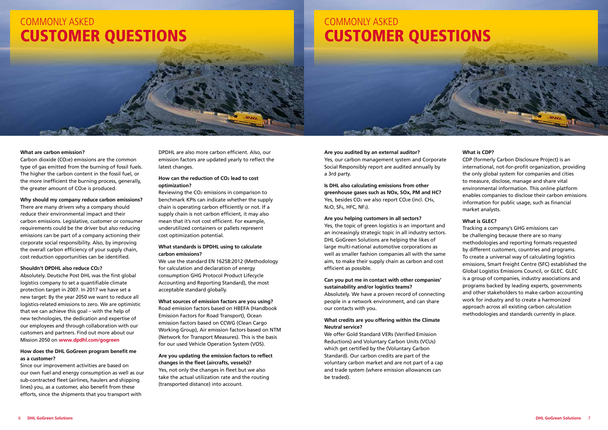**Are you audited by an external auditor?** Yes, our carbon management system and Corporate Social Responsibly report are audited annually by a 3rd party.

**Is DHL also calculating emissions from other greenhouse gases such as NOx, SOx, PM and HC?** Yes, besides CO<sub>2</sub> we also report CO<sub>2</sub>e (incl. CH<sub>4</sub>, N2O, SF6, HFC, NF3).

#### **Are you helping customers in all sectors?**

Yes, the topic of green logistics is an important and an increasingly strategic topic in all industry sectors. DHL GoGreen Solutions are helping the likes of large multi-national automotive corporations as well as smaller fashion companies all with the same aim, to make their supply chain as carbon and cost efficient as possible.

#### **Can you put me in contact with other companies' sustainability and/or logistics teams?**

Absolutely. We have a proven record of connecting people in a network environment, and can share our contacts with you.

#### **What credits are you offering within the Climate Neutral service?**

We offer Gold Standard VERs (Verified Emission Reductions) and Voluntary Carbon Units (VCUs) which get certified by the (Voluntary Carbon Standard). Our carbon credits are part of the voluntary carbon market and are not part of a cap and trade system (where emission allowances can be traded).

#### **What is CDP?**

CDP (formerly Carbon Disclosure Project) is an international, not-for-profit organization, providing the only global system for companies and cities to measure, disclose, manage and share vital environmental information. This online platform enables companies to disclose their carbon emissions information for public usage, such as financial market analysts.

#### **What is GLEC?**

Tracking a company's GHG emissions can be challenging because there are so many methodologies and reporting formats requested by different customers, countries and programs. To create a universal way of calculating logistics emissions, Smart Freight Centre (SFC) established the Global Logistics Emissions Council, or GLEC. GLEC is a group of companies, industry associations and programs backed by leading experts, governments and other stakeholders to make carbon accounting work for industry and to create a harmonized approach across all existing carbon calculation methodologies and standards currently in place.

#### **What are carbon emission?**

Carbon dioxide (CO2e) emissions are the common type of gas emitted from the burning of fossil fuels. The higher the carbon content in the fossil fuel, or the more inefficient the burning process, generally, the greater amount of CO2e is produced.

**Why should my company reduce carbon emissions?** There are many drivers why a company should reduce their environmental impact and their carbon emissions. Legislative, customer or consumer requirements could be the driver but also reducing emissions can be part of a company actioning their corporate social responsibility. Also, by improving the overall carbon efficiency of your supply chain, cost reduction opportunities can be identified.

#### **Shouldn't DPDHL also reduce CO2?**

Absolutely. Deutsche Post DHL was the first global logistics company to set a quantifiable climate protection target in 2007. In 2017 we have set a new target: By the year 2050 we want to reduce all logistics-related emissions to zero. We are optimistic that we can achieve this goal – with the help of new technologies, the dedication and expertise of our employees and through collaboration with our customers and partners. Find out more about our Mission 2050 on **www.dpdhl.com/gogreen**

#### **How does the DHL GoGreen program benefit me as a customer?**

Since our improvement activities are based on our own fuel and energy consumption as well as our sub-contracted fleet (airlines, haulers and shipping lines) you, as a customer, also benefit from these efforts, since the shipments that you transport with

DPDHL are also more carbon efficient. Also, our emission factors are updated yearly to reflect the latest changes.

#### **How can the reduction of CO2 lead to cost optimization?**

Reviewing the CO2 emissions in comparison to benchmark KPIs can indicate whether the supply chain is operating carbon efficiently or not. If a supply chain is not carbon efficient, it may also mean that it's not cost efficient. For example, underutilized containers or pallets represent cost optimization potential.

#### **What standards is DPDHL using to calculate carbon emissions?**

We use the standard EN 16258:2012 (Methodology for calculation and declaration of energy consumption GHG Protocol Product Lifecycle Accounting and Reporting Standard), the most acceptable standard globally.

#### **What sources of emission factors are you using?**

Road emission factors based on HBEFA (Handbook Emission Factors for Road Transport), Ocean emission factors based on CCWG (Clean Cargo Working Group), Air emission factors based on NTM (Network for Transport Measures). This is the basis for our used Vehicle Operation System (VOS).

#### **Are you updating the emission factors to reflect changes in the fleet (aircrafts, vessels)?** Yes, not only the changes in fleet but we also take the actual utilization rate and the routing (transported distance) into account.

## COMMONLY ASKED CUSTOMER QUESTIONS

# COMMONLY ASKED